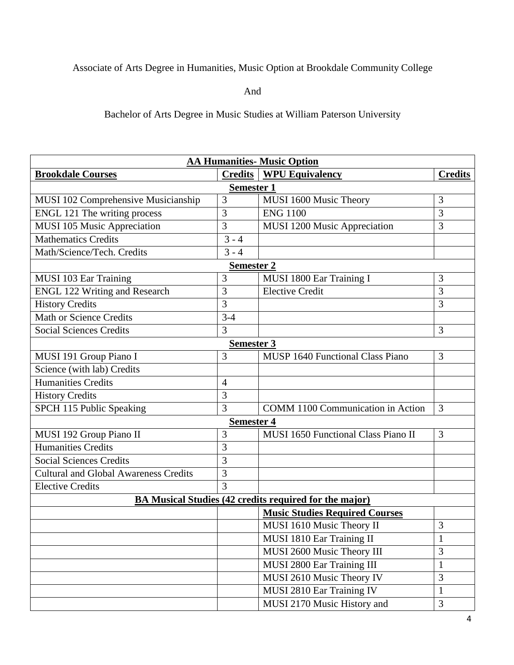## Associate of Arts Degree in Humanities, Music Option at Brookdale Community College

## And

Bachelor of Arts Degree in Music Studies at William Paterson University

| <b>AA Humanities- Music Option</b>                            |                   |                                            |                |  |  |
|---------------------------------------------------------------|-------------------|--------------------------------------------|----------------|--|--|
| <b>Brookdale Courses</b>                                      | <b>Credits</b>    | <b>WPU Equivalency</b>                     | <b>Credits</b> |  |  |
| <b>Semester 1</b>                                             |                   |                                            |                |  |  |
| MUSI 102 Comprehensive Musicianship                           | 3                 | MUSI 1600 Music Theory                     | 3              |  |  |
| ENGL 121 The writing process                                  | 3                 | <b>ENG 1100</b>                            | 3              |  |  |
| MUSI 105 Music Appreciation                                   | 3                 | MUSI 1200 Music Appreciation               | 3              |  |  |
| <b>Mathematics Credits</b>                                    | $3 - 4$           |                                            |                |  |  |
| Math/Science/Tech. Credits                                    | $3 - 4$           |                                            |                |  |  |
|                                                               | <b>Semester 2</b> |                                            |                |  |  |
| MUSI 103 Ear Training                                         | 3                 | MUSI 1800 Ear Training I                   | 3              |  |  |
| <b>ENGL 122 Writing and Research</b>                          | 3                 | <b>Elective Credit</b>                     | 3              |  |  |
| <b>History Credits</b>                                        | 3                 |                                            | 3              |  |  |
| <b>Math or Science Credits</b>                                | $3 - 4$           |                                            |                |  |  |
| <b>Social Sciences Credits</b>                                | 3                 |                                            | 3              |  |  |
|                                                               | <b>Semester 3</b> |                                            |                |  |  |
| MUSI 191 Group Piano I                                        | 3                 | <b>MUSP 1640 Functional Class Piano</b>    | 3              |  |  |
| Science (with lab) Credits                                    |                   |                                            |                |  |  |
| <b>Humanities Credits</b>                                     | $\overline{4}$    |                                            |                |  |  |
| <b>History Credits</b>                                        | 3                 |                                            |                |  |  |
| SPCH 115 Public Speaking                                      | 3                 | <b>COMM 1100 Communication in Action</b>   | 3              |  |  |
| <b>Semester 4</b>                                             |                   |                                            |                |  |  |
| MUSI 192 Group Piano II                                       | 3                 | <b>MUSI 1650 Functional Class Piano II</b> | 3              |  |  |
| Humanities Credits                                            | 3                 |                                            |                |  |  |
| <b>Social Sciences Credits</b>                                | 3                 |                                            |                |  |  |
| <b>Cultural and Global Awareness Credits</b>                  | 3                 |                                            |                |  |  |
| <b>Elective Credits</b>                                       | 3                 |                                            |                |  |  |
| <b>BA Musical Studies (42 credits required for the major)</b> |                   |                                            |                |  |  |
|                                                               |                   | <b>Music Studies Required Courses</b>      |                |  |  |
|                                                               |                   | MUSI 1610 Music Theory II                  | 3              |  |  |
|                                                               |                   | MUSI 1810 Ear Training II                  | $\mathbf{1}$   |  |  |
|                                                               |                   | MUSI 2600 Music Theory III                 | 3              |  |  |
|                                                               |                   | MUSI 2800 Ear Training III                 | $\mathbf{1}$   |  |  |
|                                                               |                   | MUSI 2610 Music Theory IV                  | 3              |  |  |
|                                                               |                   | MUSI 2810 Ear Training IV                  | $\mathbf{1}$   |  |  |
|                                                               |                   | MUSI 2170 Music History and                | 3              |  |  |